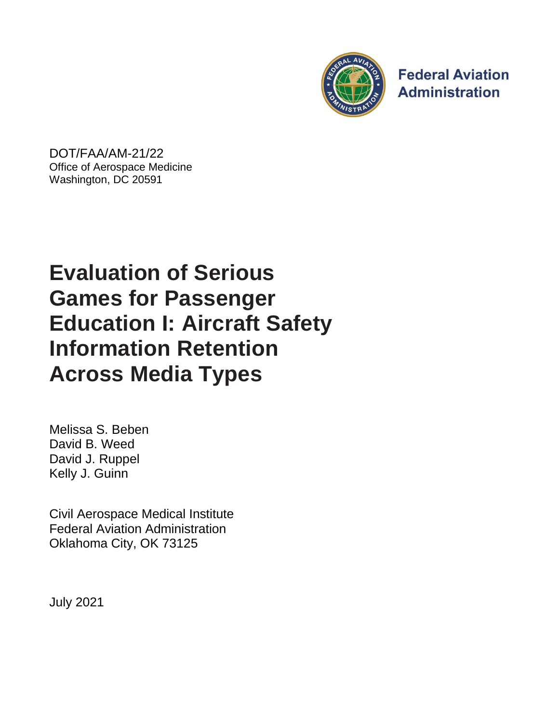

**Federal Aviation Administration** 

DOT/FAA/AM-21/22 Office of Aerospace Medicine Washington, DC 20591

# **Evaluation of Serious Games for Passenger Education I: Aircraft Safety Information Retention Across Media Types**

Melissa S. Beben David B. Weed David J. Ruppel Kelly J. Guinn

Civil Aerospace Medical Institute Federal Aviation Administration Oklahoma City, OK 73125

July 2021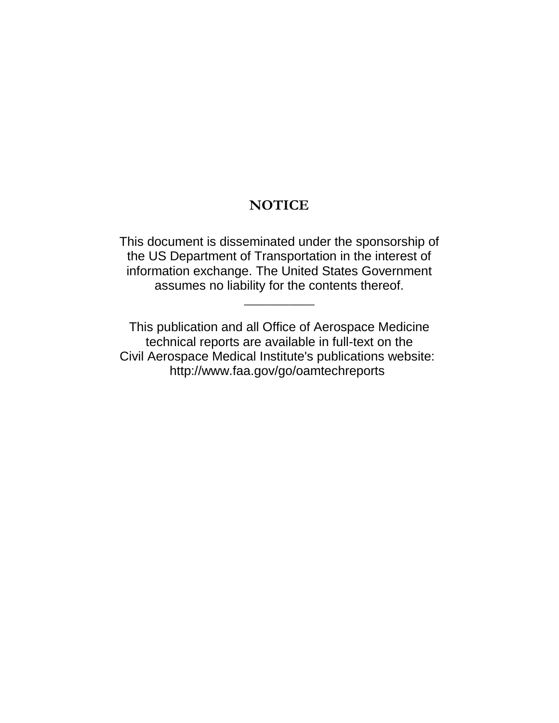# **NOTICE**

This document is disseminated under the sponsorship of the US Department of Transportation in the interest of information exchange. The United States Government assumes no liability for the contents thereof.

 $\overline{\phantom{a}}$ 

This publication and all Office of Aerospace Medicine technical reports are available in full-text on the Civil Aerospace Medical Institute's publications website: <http://www.faa.gov/go/oamtechreports>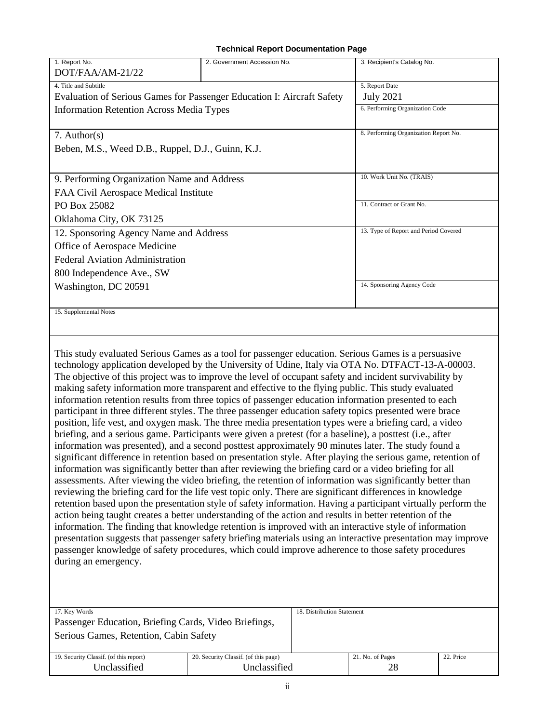#### **Technical Report Documentation Page**

| 1. Report No.                                                                                       | 2. Government Accession No.                                                                               | 3. Recipient's Catalog No.            |  |  |  |  |  |
|-----------------------------------------------------------------------------------------------------|-----------------------------------------------------------------------------------------------------------|---------------------------------------|--|--|--|--|--|
| DOT/FAA/AM-21/22                                                                                    |                                                                                                           |                                       |  |  |  |  |  |
| 4. Title and Subtitle                                                                               |                                                                                                           | 5. Report Date                        |  |  |  |  |  |
| Evaluation of Serious Games for Passenger Education I: Aircraft Safety                              | <b>July 2021</b>                                                                                          |                                       |  |  |  |  |  |
| <b>Information Retention Across Media Types</b>                                                     | 6. Performing Organization Code                                                                           |                                       |  |  |  |  |  |
|                                                                                                     |                                                                                                           |                                       |  |  |  |  |  |
| $7.$ Author(s)                                                                                      |                                                                                                           | 8. Performing Organization Report No. |  |  |  |  |  |
| Beben, M.S., Weed D.B., Ruppel, D.J., Guinn, K.J.                                                   |                                                                                                           |                                       |  |  |  |  |  |
|                                                                                                     |                                                                                                           |                                       |  |  |  |  |  |
| 9. Performing Organization Name and Address                                                         |                                                                                                           | 10. Work Unit No. (TRAIS)             |  |  |  |  |  |
| FAA Civil Aerospace Medical Institute                                                               |                                                                                                           |                                       |  |  |  |  |  |
| PO Box 25082                                                                                        |                                                                                                           | 11. Contract or Grant No.             |  |  |  |  |  |
| Oklahoma City, OK 73125                                                                             |                                                                                                           |                                       |  |  |  |  |  |
| 12. Sponsoring Agency Name and Address                                                              |                                                                                                           | 13. Type of Report and Period Covered |  |  |  |  |  |
| Office of Aerospace Medicine                                                                        |                                                                                                           |                                       |  |  |  |  |  |
| <b>Federal Aviation Administration</b>                                                              |                                                                                                           |                                       |  |  |  |  |  |
| 800 Independence Ave., SW                                                                           |                                                                                                           |                                       |  |  |  |  |  |
| Washington, DC 20591                                                                                |                                                                                                           | 14. Sponsoring Agency Code            |  |  |  |  |  |
|                                                                                                     |                                                                                                           |                                       |  |  |  |  |  |
| 15. Supplemental Notes                                                                              |                                                                                                           |                                       |  |  |  |  |  |
|                                                                                                     |                                                                                                           |                                       |  |  |  |  |  |
|                                                                                                     |                                                                                                           |                                       |  |  |  |  |  |
|                                                                                                     | This study evaluated Serious Games as a tool for passenger education. Serious Games is a persuasive       |                                       |  |  |  |  |  |
|                                                                                                     | technology application developed by the University of Udine, Italy via OTA No. DTFACT-13-A-00003.         |                                       |  |  |  |  |  |
|                                                                                                     | The objective of this project was to improve the level of occupant safety and incident survivability by   |                                       |  |  |  |  |  |
|                                                                                                     | making safety information more transparent and effective to the flying public. This study evaluated       |                                       |  |  |  |  |  |
|                                                                                                     | information retention results from three topics of passenger education information presented to each      |                                       |  |  |  |  |  |
|                                                                                                     | participant in three different styles. The three passenger education safety topics presented were brace   |                                       |  |  |  |  |  |
|                                                                                                     | position, life vest, and oxygen mask. The three media presentation types were a briefing card, a video    |                                       |  |  |  |  |  |
|                                                                                                     | briefing, and a serious game. Participants were given a pretest (for a baseline), a posttest (i.e., after |                                       |  |  |  |  |  |
| information was presented), and a second posttest approximately 90 minutes later. The study found a |                                                                                                           |                                       |  |  |  |  |  |

significant difference in retention based on presentation style. After playing the serious game, retention of information was significantly better than after reviewing the briefing card or a video briefing for all assessments. After viewing the video briefing, the retention of information was significantly better than reviewing the briefing card for the life vest topic only. There are significant differences in knowledge retention based upon the presentation style of safety information. Having a participant virtually perform the action being taught creates a better understanding of the action and results in better retention of the information. The finding that knowledge retention is improved with an interactive style of information presentation suggests that passenger safety briefing materials using an interactive presentation may improve passenger knowledge of safety procedures, which could improve adherence to those safety procedures during an emergency.

| 17. Key Words                                         |                                      | 18. Distribution Statement |                  |           |
|-------------------------------------------------------|--------------------------------------|----------------------------|------------------|-----------|
| Passenger Education, Briefing Cards, Video Briefings, |                                      |                            |                  |           |
| Serious Games, Retention, Cabin Safety                |                                      |                            |                  |           |
|                                                       |                                      |                            |                  |           |
| 19. Security Classif. (of this report)                | 20. Security Classif. (of this page) |                            | 21. No. of Pages | 22. Price |
| Unclassified                                          | Unclassified                         |                            | 28               |           |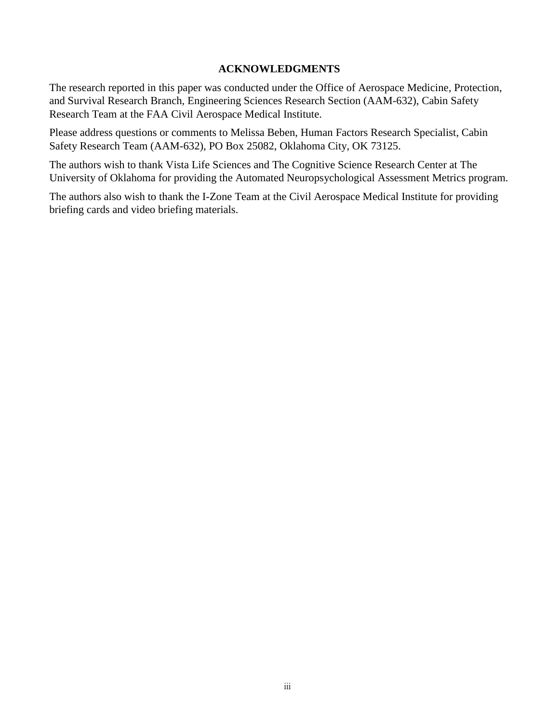#### **ACKNOWLEDGMENTS**

The research reported in this paper was conducted under the Office of Aerospace Medicine, Protection, and Survival Research Branch, Engineering Sciences Research Section (AAM-632), Cabin Safety Research Team at the FAA Civil Aerospace Medical Institute.

Please address questions or comments to Melissa Beben, Human Factors Research Specialist, Cabin Safety Research Team (AAM-632), PO Box 25082, Oklahoma City, OK 73125.

The authors wish to thank Vista Life Sciences and The Cognitive Science Research Center at The University of Oklahoma for providing the Automated Neuropsychological Assessment Metrics program.

The authors also wish to thank the I-Zone Team at the Civil Aerospace Medical Institute for providing briefing cards and video briefing materials.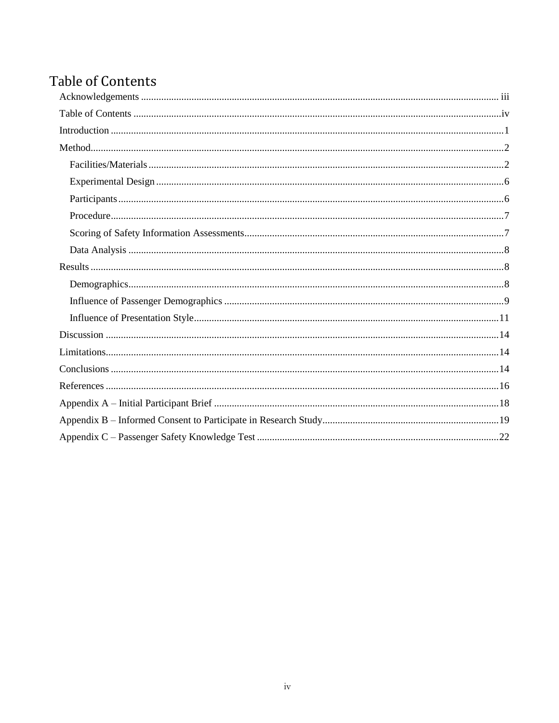# **Table of Contents**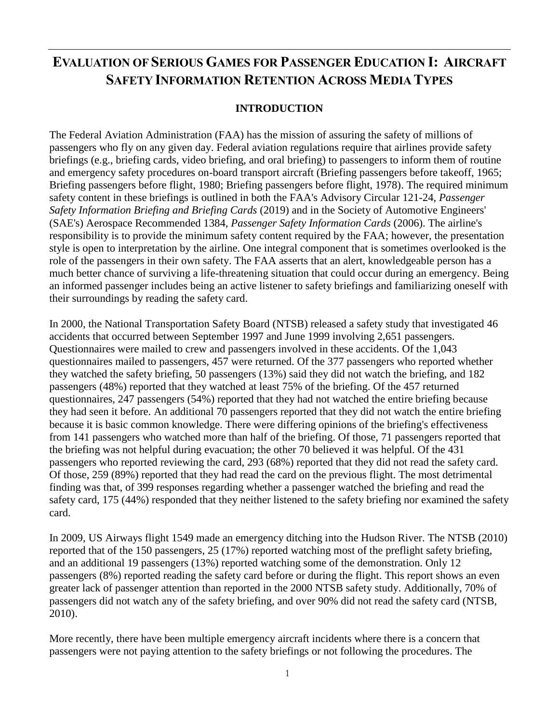# **EVALUATION OF SERIOUS GAMES FOR PASSENGER EDUCATION I: AIRCRAFT SAFETY INFORMATION RETENTION ACROSS MEDIA TYPES**

## **INTRODUCTION**

The Federal Aviation Administration (FAA) has the mission of assuring the safety of millions of passengers who fly on any given day. Federal aviation regulations require that airlines provide safety briefings (e.g., briefing cards, video briefing, and oral briefing) to passengers to inform them of routine and emergency safety procedures on-board transport aircraft (Briefing passengers before takeoff, 1965; Briefing passengers before flight, 1980; Briefing passengers before flight, 1978). The required minimum safety content in these briefings is outlined in both the FAA's Advisory Circular 121-24, *Passenger Safety Information Briefing and Briefing Cards* (2019) and in the Society of Automotive Engineers' (SAE's) Aerospace Recommended 1384, *Passenger Safety Information Cards* (2006). The airline's responsibility is to provide the minimum safety content required by the FAA; however, the presentation style is open to interpretation by the airline. One integral component that is sometimes overlooked is the role of the passengers in their own safety. The FAA asserts that an alert, knowledgeable person has a much better chance of surviving a life-threatening situation that could occur during an emergency. Being an informed passenger includes being an active listener to safety briefings and familiarizing oneself with their surroundings by reading the safety card.

In 2000, the National Transportation Safety Board (NTSB) released a safety study that investigated 46 accidents that occurred between September 1997 and June 1999 involving 2,651 passengers. Questionnaires were mailed to crew and passengers involved in these accidents. Of the 1,043 questionnaires mailed to passengers, 457 were returned. Of the 377 passengers who reported whether they watched the safety briefing, 50 passengers (13%) said they did not watch the briefing, and 182 passengers (48%) reported that they watched at least 75% of the briefing. Of the 457 returned questionnaires, 247 passengers (54%) reported that they had not watched the entire briefing because they had seen it before. An additional 70 passengers reported that they did not watch the entire briefing because it is basic common knowledge. There were differing opinions of the briefing's effectiveness from 141 passengers who watched more than half of the briefing. Of those, 71 passengers reported that the briefing was not helpful during evacuation; the other 70 believed it was helpful. Of the 431 passengers who reported reviewing the card, 293 (68%) reported that they did not read the safety card. Of those, 259 (89%) reported that they had read the card on the previous flight. The most detrimental finding was that, of 399 responses regarding whether a passenger watched the briefing and read the safety card, 175 (44%) responded that they neither listened to the safety briefing nor examined the safety card.

In 2009, US Airways flight 1549 made an emergency ditching into the Hudson River. The NTSB (2010) reported that of the 150 passengers, 25 (17%) reported watching most of the preflight safety briefing, and an additional 19 passengers (13%) reported watching some of the demonstration. Only 12 passengers (8%) reported reading the safety card before or during the flight. This report shows an even greater lack of passenger attention than reported in the 2000 NTSB safety study. Additionally, 70% of passengers did not watch any of the safety briefing, and over 90% did not read the safety card (NTSB, 2010).

More recently, there have been multiple emergency aircraft incidents where there is a concern that passengers were not paying attention to the safety briefings or not following the procedures. The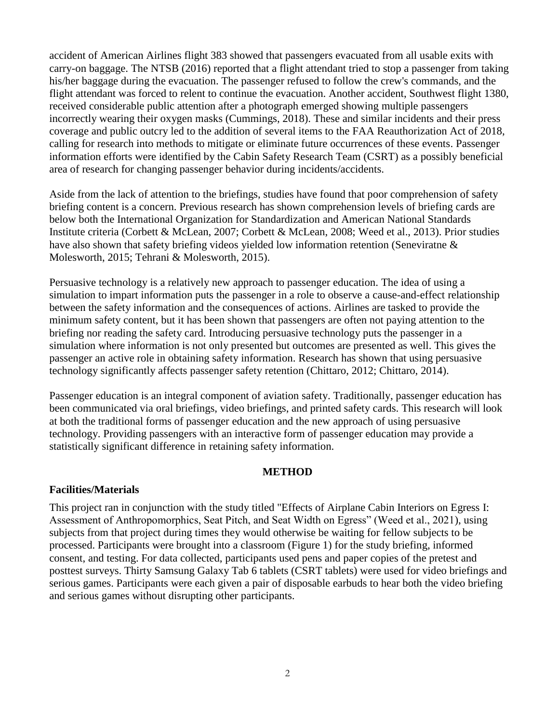accident of American Airlines flight 383 showed that passengers evacuated from all usable exits with carry-on baggage. The NTSB (2016) reported that a flight attendant tried to stop a passenger from taking his/her baggage during the evacuation. The passenger refused to follow the crew's commands, and the flight attendant was forced to relent to continue the evacuation. Another accident, Southwest flight 1380, received considerable public attention after a photograph emerged showing multiple passengers incorrectly wearing their oxygen masks (Cummings, 2018). These and similar incidents and their press coverage and public outcry led to the addition of several items to the FAA Reauthorization Act of 2018, calling for research into methods to mitigate or eliminate future occurrences of these events. Passenger information efforts were identified by the Cabin Safety Research Team (CSRT) as a possibly beneficial area of research for changing passenger behavior during incidents/accidents.

Aside from the lack of attention to the briefings, studies have found that poor comprehension of safety briefing content is a concern. Previous research has shown comprehension levels of briefing cards are below both the International Organization for Standardization and American National Standards Institute criteria (Corbett & McLean, 2007; Corbett & McLean, 2008; Weed et al., 2013). Prior studies have also shown that safety briefing videos yielded low information retention (Seneviratne & Molesworth, 2015; Tehrani & Molesworth, 2015).

Persuasive technology is a relatively new approach to passenger education. The idea of using a simulation to impart information puts the passenger in a role to observe a cause-and-effect relationship between the safety information and the consequences of actions. Airlines are tasked to provide the minimum safety content, but it has been shown that passengers are often not paying attention to the briefing nor reading the safety card. Introducing persuasive technology puts the passenger in a simulation where information is not only presented but outcomes are presented as well. This gives the passenger an active role in obtaining safety information. Research has shown that using persuasive technology significantly affects passenger safety retention (Chittaro, 2012; Chittaro, 2014).

Passenger education is an integral component of aviation safety. Traditionally, passenger education has been communicated via oral briefings, video briefings, and printed safety cards. This research will look at both the traditional forms of passenger education and the new approach of using persuasive technology. Providing passengers with an interactive form of passenger education may provide a statistically significant difference in retaining safety information.

#### **METHOD**

# **Facilities/Materials**

This project ran in conjunction with the study titled "Effects of Airplane Cabin Interiors on Egress I: Assessment of Anthropomorphics, Seat Pitch, and Seat Width on Egress" (Weed et al., 2021), using subjects from that project during times they would otherwise be waiting for fellow subjects to be processed. Participants were brought into a classroom (Figure 1) for the study briefing, informed consent, and testing. For data collected, participants used pens and paper copies of the pretest and posttest surveys. Thirty Samsung Galaxy Tab 6 tablets (CSRT tablets) were used for video briefings and serious games. Participants were each given a pair of disposable earbuds to hear both the video briefing and serious games without disrupting other participants.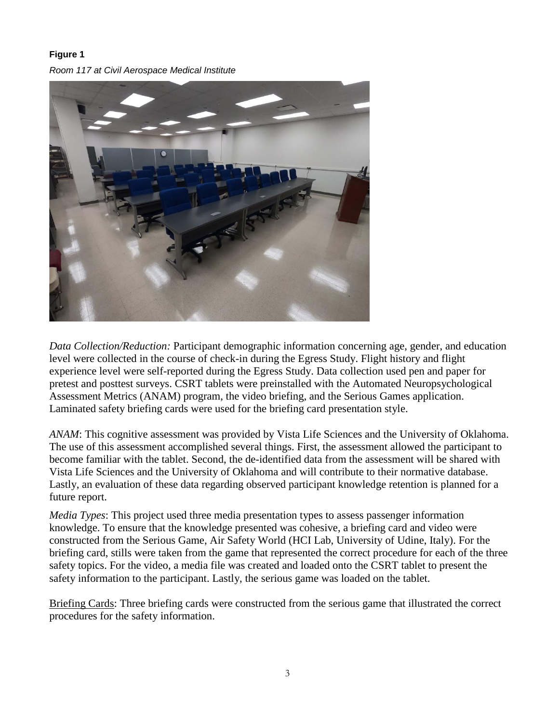#### **Figure 1**

*Room 117 at Civil Aerospace Medical Institute*



*Data Collection/Reduction:* Participant demographic information concerning age, gender, and education level were collected in the course of check-in during the Egress Study. Flight history and flight experience level were self-reported during the Egress Study. Data collection used pen and paper for pretest and posttest surveys. CSRT tablets were preinstalled with the Automated Neuropsychological Assessment Metrics (ANAM) program, the video briefing, and the Serious Games application. Laminated safety briefing cards were used for the briefing card presentation style.

*ANAM*: This cognitive assessment was provided by Vista Life Sciences and the University of Oklahoma. The use of this assessment accomplished several things. First, the assessment allowed the participant to become familiar with the tablet. Second, the de-identified data from the assessment will be shared with Vista Life Sciences and the University of Oklahoma and will contribute to their normative database. Lastly, an evaluation of these data regarding observed participant knowledge retention is planned for a future report.

*Media Types*: This project used three media presentation types to assess passenger information knowledge. To ensure that the knowledge presented was cohesive, a briefing card and video were constructed from the Serious Game, Air Safety World (HCI Lab, University of Udine, Italy). For the briefing card, stills were taken from the game that represented the correct procedure for each of the three safety topics. For the video, a media file was created and loaded onto the CSRT tablet to present the safety information to the participant. Lastly, the serious game was loaded on the tablet.

Briefing Cards: Three briefing cards were constructed from the serious game that illustrated the correct procedures for the safety information.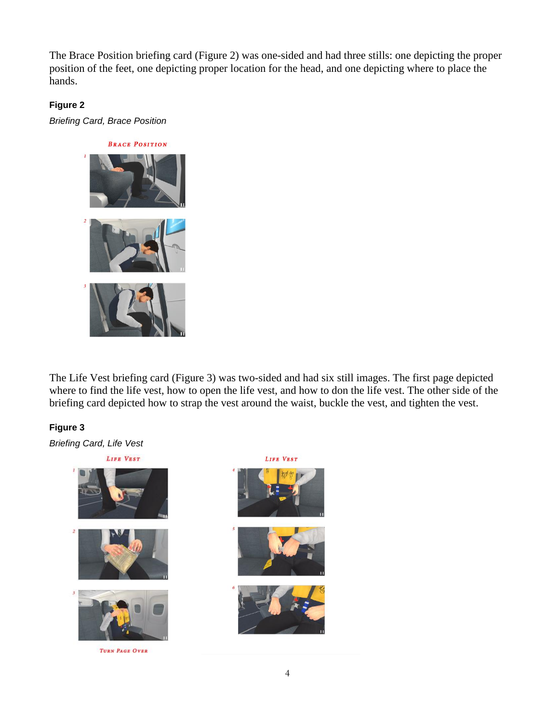The Brace Position briefing card (Figure 2) was one-sided and had three stills: one depicting the proper position of the feet, one depicting proper location for the head, and one depicting where to place the hands.

#### **Figure 2**

*Briefing Card, Brace Position*



The Life Vest briefing card (Figure 3) was two-sided and had six still images. The first page depicted where to find the life vest, how to open the life vest, and how to don the life vest. The other side of the briefing card depicted how to strap the vest around the waist, buckle the vest, and tighten the vest.

## **Figure 3**

*Briefing Card, Life Vest*

LIFE VEST TURN PAGE OVER

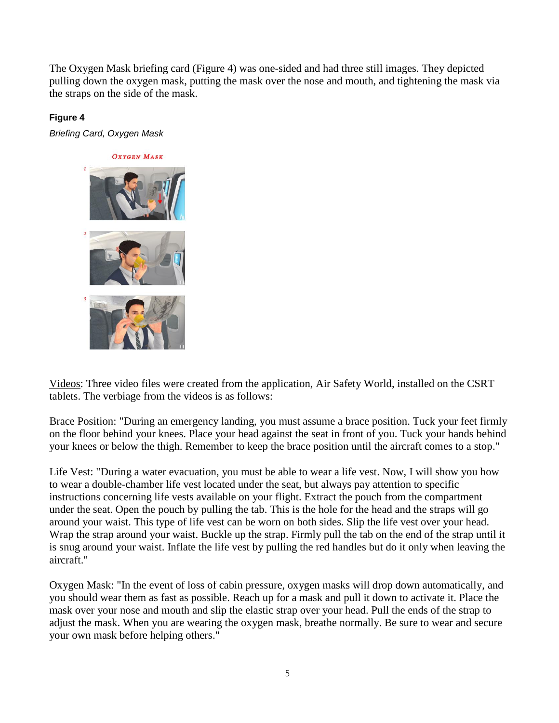The Oxygen Mask briefing card (Figure 4) was one-sided and had three still images. They depicted pulling down the oxygen mask, putting the mask over the nose and mouth, and tightening the mask via the straps on the side of the mask.

## **Figure 4**

*Briefing Card, Oxygen Mask*



Videos: Three video files were created from the application, Air Safety World, installed on the CSRT tablets. The verbiage from the videos is as follows:

Brace Position: "During an emergency landing, you must assume a brace position. Tuck your feet firmly on the floor behind your knees. Place your head against the seat in front of you. Tuck your hands behind your knees or below the thigh. Remember to keep the brace position until the aircraft comes to a stop."

Life Vest: "During a water evacuation, you must be able to wear a life vest. Now, I will show you how to wear a double-chamber life vest located under the seat, but always pay attention to specific instructions concerning life vests available on your flight. Extract the pouch from the compartment under the seat. Open the pouch by pulling the tab. This is the hole for the head and the straps will go around your waist. This type of life vest can be worn on both sides. Slip the life vest over your head. Wrap the strap around your waist. Buckle up the strap. Firmly pull the tab on the end of the strap until it is snug around your waist. Inflate the life vest by pulling the red handles but do it only when leaving the aircraft."

Oxygen Mask: "In the event of loss of cabin pressure, oxygen masks will drop down automatically, and you should wear them as fast as possible. Reach up for a mask and pull it down to activate it. Place the mask over your nose and mouth and slip the elastic strap over your head. Pull the ends of the strap to adjust the mask. When you are wearing the oxygen mask, breathe normally. Be sure to wear and secure your own mask before helping others."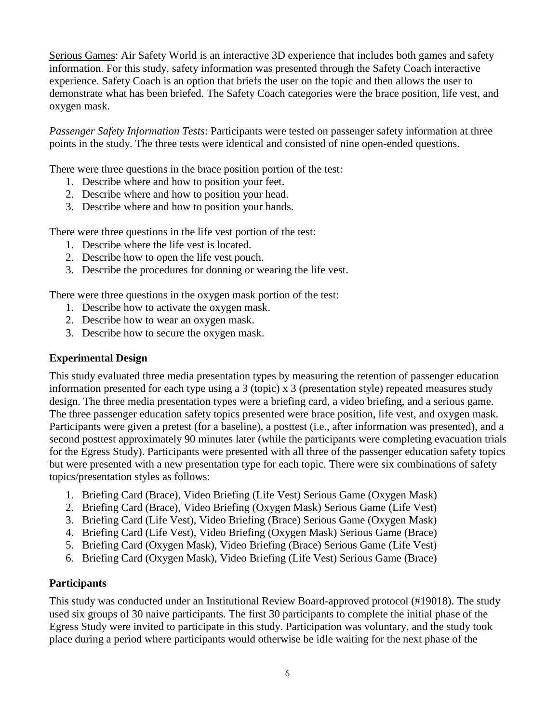Serious Games: Air Safety World is an interactive 3D experience that includes both games and safety information. For this study, safety information was presented through the Safety Coach interactive experience. Safety Coach is an option that briefs the user on the topic and then allows the user to demonstrate what has been briefed. The Safety Coach categories were the brace position, life vest, and oxygen mask.

*Passenger Safety Information Tests*: Participants were tested on passenger safety information at three points in the study. The three tests were identical and consisted of nine open-ended questions.

There were three questions in the brace position portion of the test:

- 1. Describe where and how to position your feet.
- 2. Describe where and how to position your head.
- 3. Describe where and how to position your hands.

There were three questions in the life vest portion of the test:

- 1. Describe where the life vest is located.
- 2. Describe how to open the life vest pouch.
- 3. Describe the procedures for donning or wearing the life vest.

There were three questions in the oxygen mask portion of the test:

- 1. Describe how to activate the oxygen mask.
- 2. Describe how to wear an oxygen mask.
- 3. Describe how to secure the oxygen mask.

## **Experimental Design**

This study evaluated three media presentation types by measuring the retention of passenger education information presented for each type using a 3 (topic) x 3 (presentation style) repeated measures study design. The three media presentation types were a briefing card, a video briefing, and a serious game. The three passenger education safety topics presented were brace position, life vest, and oxygen mask. Participants were given a pretest (for a baseline), a posttest (i.e., after information was presented), and a second posttest approximately 90 minutes later (while the participants were completing evacuation trials for the Egress Study). Participants were presented with all three of the passenger education safety topics but were presented with a new presentation type for each topic. There were six combinations of safety topics/presentation styles as follows:

- 1. Briefing Card (Brace), Video Briefing (Life Vest) Serious Game (Oxygen Mask)
- 2. Briefing Card (Brace), Video Briefing (Oxygen Mask) Serious Game (Life Vest)
- 3. Briefing Card (Life Vest), Video Briefing (Brace) Serious Game (Oxygen Mask)
- 4. Briefing Card (Life Vest), Video Briefing (Oxygen Mask) Serious Game (Brace)
- 5. Briefing Card (Oxygen Mask), Video Briefing (Brace) Serious Game (Life Vest)
- 6. Briefing Card (Oxygen Mask), Video Briefing (Life Vest) Serious Game (Brace)

# **Participants**

This study was conducted under an Institutional Review Board-approved protocol (#19018). The study used six groups of 30 naive participants. The first 30 participants to complete the initial phase of the Egress Study were invited to participate in this study. Participation was voluntary, and the study took place during a period where participants would otherwise be idle waiting for the next phase of the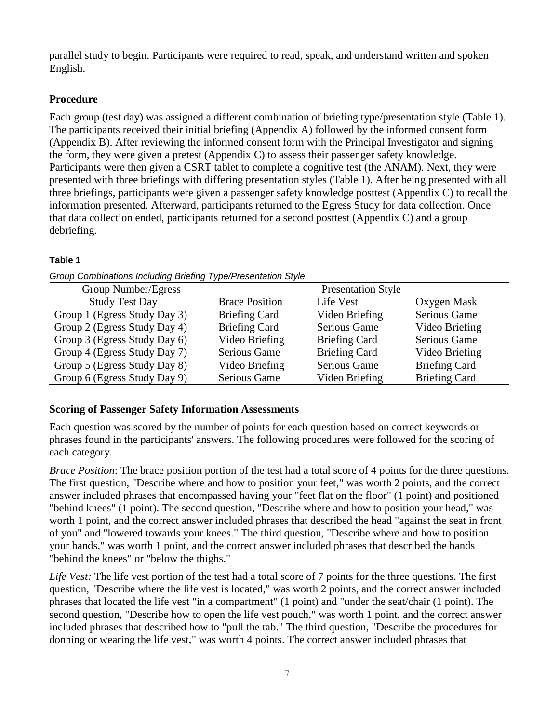parallel study to begin. Participants were required to read, speak, and understand written and spoken English.

# **Procedure**

Each group (test day) was assigned a different combination of briefing type/presentation style (Table 1). The participants received their initial briefing (Appendix A) followed by the informed consent form (Appendix B). After reviewing the informed consent form with the Principal Investigator and signing the form, they were given a pretest (Appendix C) to assess their passenger safety knowledge. Participants were then given a CSRT tablet to complete a cognitive test (the ANAM). Next, they were presented with three briefings with differing presentation styles (Table 1). After being presented with all three briefings, participants were given a passenger safety knowledge posttest (Appendix C) to recall the information presented. Afterward, participants returned to the Egress Study for data collection. Once that data collection ended, participants returned for a second posttest (Appendix C) and a group debriefing.

# **Table 1**

| Group Number/Egress          | <b>Presentation Style</b> |                      |                      |  |  |  |
|------------------------------|---------------------------|----------------------|----------------------|--|--|--|
| <b>Study Test Day</b>        | <b>Brace Position</b>     | Life Vest            | Oxygen Mask          |  |  |  |
| Group 1 (Egress Study Day 3) | <b>Briefing Card</b>      | Video Briefing       | <b>Serious Game</b>  |  |  |  |
| Group 2 (Egress Study Day 4) | <b>Briefing Card</b>      | <b>Serious Game</b>  | Video Briefing       |  |  |  |
| Group 3 (Egress Study Day 6) | Video Briefing            | <b>Briefing Card</b> | <b>Serious Game</b>  |  |  |  |
| Group 4 (Egress Study Day 7) | <b>Serious Game</b>       | <b>Briefing Card</b> | Video Briefing       |  |  |  |
| Group 5 (Egress Study Day 8) | Video Briefing            | <b>Serious Game</b>  | <b>Briefing Card</b> |  |  |  |
| Group 6 (Egress Study Day 9) | Serious Game              | Video Briefing       | <b>Briefing Card</b> |  |  |  |

*Group Combinations Including Briefing Type/Presentation Style*

# **Scoring of Passenger Safety Information Assessments**

Each question was scored by the number of points for each question based on correct keywords or phrases found in the participants' answers. The following procedures were followed for the scoring of each category.

*Brace Position*: The brace position portion of the test had a total score of 4 points for the three questions. The first question, "Describe where and how to position your feet," was worth 2 points, and the correct answer included phrases that encompassed having your "feet flat on the floor" (1 point) and positioned "behind knees" (1 point). The second question, "Describe where and how to position your head," was worth 1 point, and the correct answer included phrases that described the head "against the seat in front of you" and "lowered towards your knees." The third question, "Describe where and how to position your hands," was worth 1 point, and the correct answer included phrases that described the hands "behind the knees" or "below the thighs."

*Life Vest:* The life vest portion of the test had a total score of 7 points for the three questions. The first question, "Describe where the life vest is located," was worth 2 points, and the correct answer included phrases that located the life vest "in a compartment" (1 point) and "under the seat/chair (1 point). The second question, "Describe how to open the life vest pouch," was worth 1 point, and the correct answer included phrases that described how to "pull the tab." The third question, "Describe the procedures for donning or wearing the life vest," was worth 4 points. The correct answer included phrases that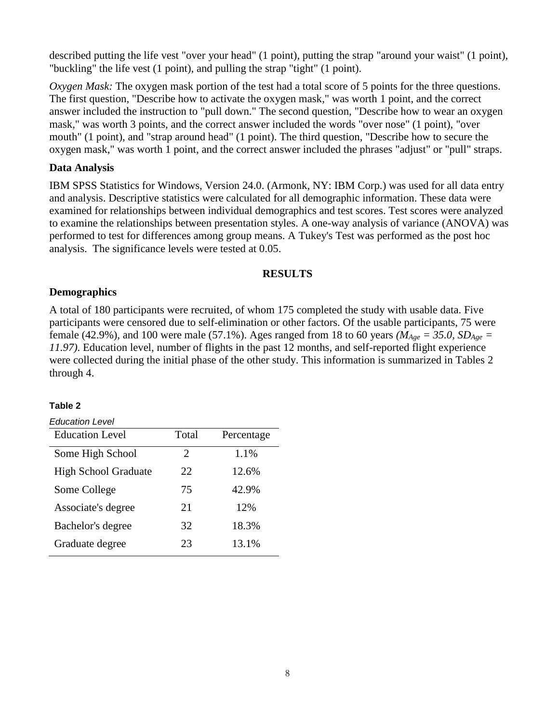described putting the life vest "over your head" (1 point), putting the strap "around your waist" (1 point), "buckling" the life vest (1 point), and pulling the strap "tight" (1 point).

*Oxygen Mask:* The oxygen mask portion of the test had a total score of 5 points for the three questions. The first question, "Describe how to activate the oxygen mask," was worth 1 point, and the correct answer included the instruction to "pull down." The second question, "Describe how to wear an oxygen mask," was worth 3 points, and the correct answer included the words "over nose" (1 point), "over mouth" (1 point), and "strap around head" (1 point). The third question, "Describe how to secure the oxygen mask," was worth 1 point, and the correct answer included the phrases "adjust" or "pull" straps.

#### **Data Analysis**

IBM SPSS Statistics for Windows, Version 24.0. (Armonk, NY: IBM Corp.) was used for all data entry and analysis. Descriptive statistics were calculated for all demographic information. These data were examined for relationships between individual demographics and test scores. Test scores were analyzed to examine the relationships between presentation styles. A one-way analysis of variance (ANOVA) was performed to test for differences among group means. A Tukey's Test was performed as the post hoc analysis. The significance levels were tested at 0.05.

#### **RESULTS**

#### **Demographics**

A total of 180 participants were recruited, of whom 175 completed the study with usable data. Five participants were censored due to self-elimination or other factors. Of the usable participants, 75 were female (42.9%), and 100 were male (57.1%). Ages ranged from 18 to 60 years *(M<sub>Age</sub>* = 35.0, *SD<sub>Age</sub>* = *11.97)*. Education level, number of flights in the past 12 months, and self-reported flight experience were collected during the initial phase of the other study. This information is summarized in Tables 2 through 4.

#### **Table 2**

| Education Level             |                       |            |
|-----------------------------|-----------------------|------------|
| <b>Education Level</b>      | Total                 | Percentage |
| Some High School            | $\mathcal{D}_{\cdot}$ | 1.1%       |
| <b>High School Graduate</b> | 22                    | 12.6%      |
| Some College                | 75                    | 42.9%      |
| Associate's degree          | 21                    | 12%        |
| Bachelor's degree           | 32                    | 18.3%      |
| Graduate degree             | 23                    | 13.1%      |
|                             |                       |            |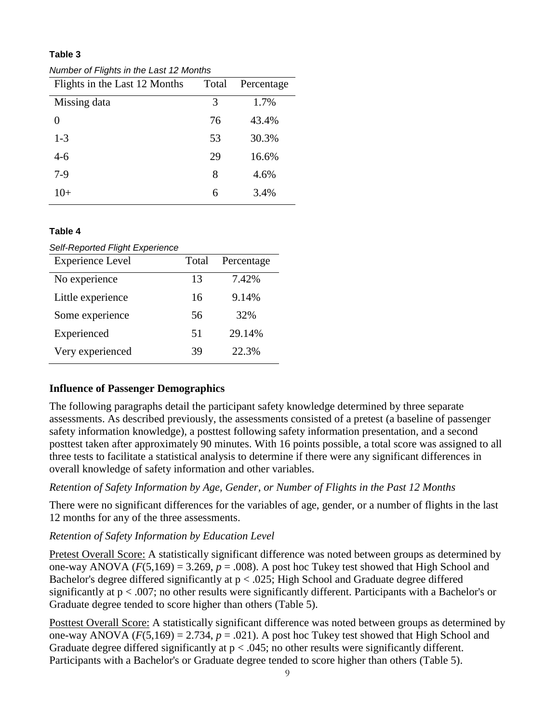*Number of Flights in the Last 12 Months*

| Flights in the Last 12 Months | Total | Percentage |
|-------------------------------|-------|------------|
| Missing data                  | 3     | 1.7%       |
| 0                             | 76    | 43.4%      |
| $1 - 3$                       | 53    | 30.3%      |
| 4-6                           | 29    | 16.6%      |
| $7-9$                         | 8     | 4.6%       |
| 10+                           | 6     | 3.4%       |

#### **Table 4**

*Self-Reported Flight Experience*

| <b>Experience Level</b> | Total | Percentage |
|-------------------------|-------|------------|
| No experience           | 13    | 7.42%      |
| Little experience       | 16    | 9.14%      |
| Some experience         | 56    | 32%        |
| Experienced             | 51    | 29.14%     |
| Very experienced        | 39    | 22.3%      |

#### **Influence of Passenger Demographics**

The following paragraphs detail the participant safety knowledge determined by three separate assessments. As described previously, the assessments consisted of a pretest (a baseline of passenger safety information knowledge), a posttest following safety information presentation, and a second posttest taken after approximately 90 minutes. With 16 points possible, a total score was assigned to all three tests to facilitate a statistical analysis to determine if there were any significant differences in overall knowledge of safety information and other variables.

# *Retention of Safety Information by Age, Gender, or Number of Flights in the Past 12 Months*

There were no significant differences for the variables of age, gender, or a number of flights in the last 12 months for any of the three assessments.

#### *Retention of Safety Information by Education Level*

Pretest Overall Score: A statistically significant difference was noted between groups as determined by one-way ANOVA  $(F(5,169) = 3.269, p = .008)$ . A post hoc Tukey test showed that High School and Bachelor's degree differed significantly at p < .025; High School and Graduate degree differed significantly at p < .007; no other results were significantly different. Participants with a Bachelor's or Graduate degree tended to score higher than others (Table 5).

Posttest Overall Score: A statistically significant difference was noted between groups as determined by one-way ANOVA  $(F(5,169) = 2.734, p = .021)$ . A post hoc Tukey test showed that High School and Graduate degree differed significantly at  $p < .045$ ; no other results were significantly different. Participants with a Bachelor's or Graduate degree tended to score higher than others (Table 5).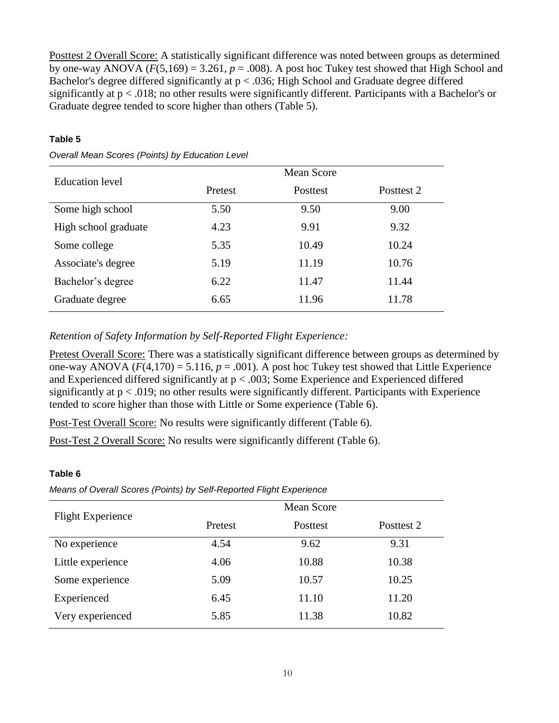Posttest 2 Overall Score: A statistically significant difference was noted between groups as determined by one-way ANOVA  $(F(5,169) = 3.261, p = .008)$ . A post hoc Tukey test showed that High School and Bachelor's degree differed significantly at p < .036; High School and Graduate degree differed significantly at p < .018; no other results were significantly different. Participants with a Bachelor's or Graduate degree tended to score higher than others (Table 5).

#### **Table 5**

| Education level      | Mean Score |          |            |  |  |  |  |
|----------------------|------------|----------|------------|--|--|--|--|
|                      | Pretest    | Posttest | Posttest 2 |  |  |  |  |
| Some high school     | 5.50       | 9.50     | 9.00       |  |  |  |  |
| High school graduate | 4.23       | 9.91     | 9.32       |  |  |  |  |
| Some college         | 5.35       | 10.49    | 10.24      |  |  |  |  |
| Associate's degree   | 5.19       | 11.19    | 10.76      |  |  |  |  |
| Bachelor's degree    | 6.22       | 11.47    | 11.44      |  |  |  |  |
| Graduate degree      | 6.65       | 11.96    | 11.78      |  |  |  |  |

*Overall Mean Scores (Points) by Education Level*

#### *Retention of Safety Information by Self-Reported Flight Experience:*

Pretest Overall Score: There was a statistically significant difference between groups as determined by one-way ANOVA  $(F(4,170) = 5.116, p = .001)$ . A post hoc Tukey test showed that Little Experience and Experienced differed significantly at p < .003; Some Experience and Experienced differed significantly at  $p < .019$ ; no other results were significantly different. Participants with Experience tended to score higher than those with Little or Some experience (Table 6).

Post-Test Overall Score: No results were significantly different (Table 6).

Post-Test 2 Overall Score: No results were significantly different (Table 6).

#### **Table 6**

*Means of Overall Scores (Points) by Self-Reported Flight Experience*

| <b>Flight Experience</b> | Pretest | Posttest | Posttest 2 |
|--------------------------|---------|----------|------------|
| No experience            | 4.54    | 9.62     | 9.31       |
| Little experience        | 4.06    | 10.88    | 10.38      |
| Some experience          | 5.09    | 10.57    | 10.25      |
| Experienced              | 6.45    | 11.10    | 11.20      |
| Very experienced         | 5.85    | 11.38    | 10.82      |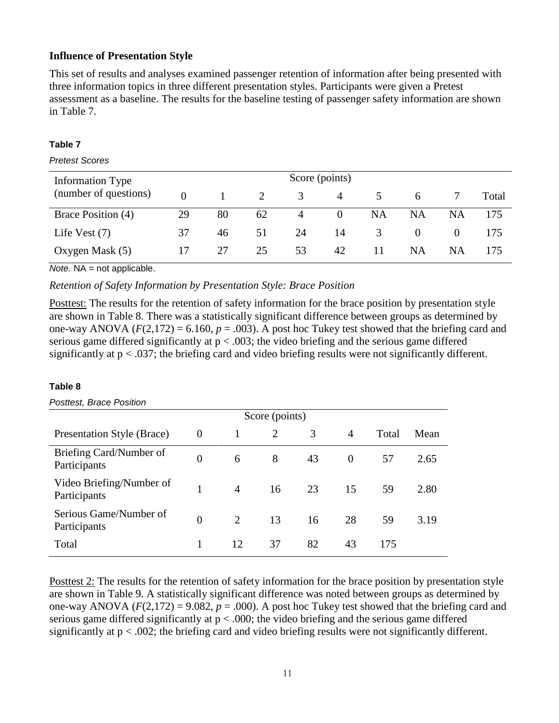#### **Influence of Presentation Style**

This set of results and analyses examined passenger retention of information after being presented with three information topics in three different presentation styles. Participants were given a Pretest assessment as a baseline. The results for the baseline testing of passenger safety information are shown in Table 7.

#### **Table 7**

#### *Pretest Scores*

| Information Type      | Score (points) |    |    |    |          |           |           |    |       |
|-----------------------|----------------|----|----|----|----------|-----------|-----------|----|-------|
| (number of questions) | $\Omega$       |    |    | 3  | 4        |           | 6         |    | Total |
| Brace Position (4)    | 29             | 80 | 62 | 4  | $\Omega$ | <b>NA</b> | <b>NA</b> | NA | 175   |
| Life Vest $(7)$       | 37             | 46 | 51 | 24 | 14       | 3         |           |    | 175   |
| Oxygen Mask (5)       | 17             | 27 | 25 | 53 | 42       | 11        | NA        | NA | 175   |

*Note.* NA = not applicable.

*Retention of Safety Information by Presentation Style: Brace Position*

Posttest: The results for the retention of safety information for the brace position by presentation style are shown in Table 8. There was a statistically significant difference between groups as determined by one-way ANOVA  $(F(2,172) = 6.160, p = .003)$ . A post hoc Tukey test showed that the briefing card and serious game differed significantly at  $p < .003$ ; the video briefing and the serious game differed significantly at  $p < .037$ ; the briefing card and video briefing results were not significantly different.

#### **Table 8**

#### *Posttest, Brace Position*

|                                          | Score (points) |                |                |    |          |       |      |  |
|------------------------------------------|----------------|----------------|----------------|----|----------|-------|------|--|
| Presentation Style (Brace)               | $\theta$       |                | $\overline{2}$ | 3  | 4        | Total | Mean |  |
| Briefing Card/Number of<br>Participants  | $\overline{0}$ | 6              | 8              | 43 | $\theta$ | 57    | 2.65 |  |
| Video Briefing/Number of<br>Participants | 1              | $\overline{4}$ | 16             | 23 | 15       | 59    | 2.80 |  |
| Serious Game/Number of<br>Participants   | $\theta$       | 2              | 13             | 16 | 28       | 59    | 3.19 |  |
| Total                                    |                | 12             | 37             | 82 | 43       | 175   |      |  |

Posttest 2: The results for the retention of safety information for the brace position by presentation style are shown in Table 9. A statistically significant difference was noted between groups as determined by one-way ANOVA  $(F(2,172) = 9.082, p = .000)$ . A post hoc Tukey test showed that the briefing card and serious game differed significantly at  $p < .000$ ; the video briefing and the serious game differed significantly at p < .002; the briefing card and video briefing results were not significantly different.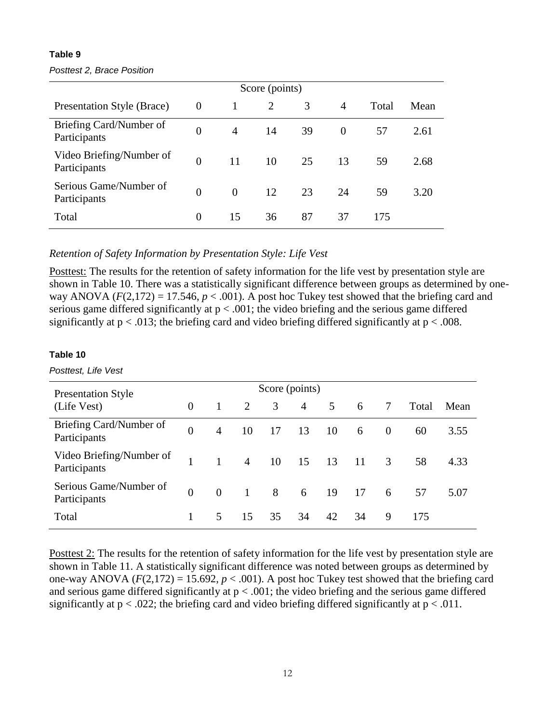#### *Posttest 2, Brace Position*

|                                          | Score (points) |                |                |    |                |       |      |  |  |
|------------------------------------------|----------------|----------------|----------------|----|----------------|-------|------|--|--|
| Presentation Style (Brace)               | $\theta$       |                | $\overline{2}$ | 3  | $\overline{4}$ | Total | Mean |  |  |
| Briefing Card/Number of<br>Participants  | $\overline{0}$ | $\overline{4}$ | 14             | 39 | $\theta$       | 57    | 2.61 |  |  |
| Video Briefing/Number of<br>Participants | $\overline{0}$ | 11             | 10             | 25 | 13             | 59    | 2.68 |  |  |
| Serious Game/Number of<br>Participants   | $\theta$       | $\theta$       | 12             | 23 | 24             | 59    | 3.20 |  |  |
| Total                                    | $\theta$       | 15             | 36             | 87 | 37             | 175   |      |  |  |

*Retention of Safety Information by Presentation Style: Life Vest*

Posttest: The results for the retention of safety information for the life vest by presentation style are shown in Table 10. There was a statistically significant difference between groups as determined by oneway ANOVA ( $F(2,172) = 17.546$ ,  $p < .001$ ). A post hoc Tukey test showed that the briefing card and serious game differed significantly at  $p < .001$ ; the video briefing and the serious game differed significantly at  $p < .013$ ; the briefing card and video briefing differed significantly at  $p < .008$ .

#### **Table 10**

*Posttest, Life Vest*

| <b>Presentation Style</b>                |          |                |                |    |                |             |    |          |       |      |
|------------------------------------------|----------|----------------|----------------|----|----------------|-------------|----|----------|-------|------|
| (Life Vest)                              | $\Omega$ | $\mathbf{1}$   | 2              | 3  | $\overline{4}$ | $5^{\circ}$ | 6  | 7        | Total | Mean |
| Briefing Card/Number of<br>Participants  | $\Omega$ | $\overline{4}$ | 10             | 17 | 13             | 10          | 6  | $\Omega$ | 60    | 3.55 |
| Video Briefing/Number of<br>Participants |          | $\mathbf{1}$   | $\overline{4}$ | 10 | 15             | 13          | 11 | 3        | 58    | 4.33 |
| Serious Game/Number of<br>Participants   | $\Omega$ | $\Omega$       | $\overline{1}$ | 8  | 6              | 19          | 17 | 6        | 57    | 5.07 |
| Total                                    |          | $\mathfrak{H}$ | 15             | 35 | 34             | 42          | 34 | 9        | 175   |      |

Posttest 2: The results for the retention of safety information for the life vest by presentation style are shown in Table 11. A statistically significant difference was noted between groups as determined by one-way ANOVA  $(F(2,172) = 15.692, p < .001)$ . A post hoc Tukey test showed that the briefing card and serious game differed significantly at  $p < .001$ ; the video briefing and the serious game differed significantly at  $p < .022$ ; the briefing card and video briefing differed significantly at  $p < .011$ .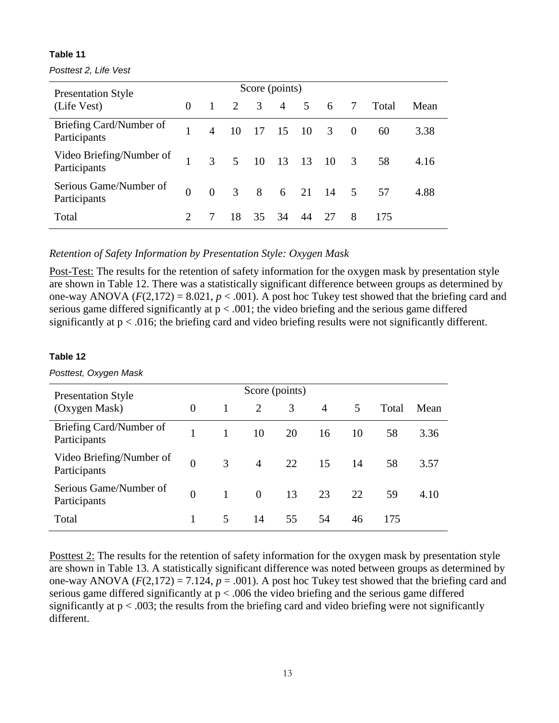*Posttest 2, Life Vest*

| <b>Presentation Style</b>                | Score (points) |                 |                 |    |    |             |               |                         |       |      |
|------------------------------------------|----------------|-----------------|-----------------|----|----|-------------|---------------|-------------------------|-------|------|
| (Life Vest)                              | $\Omega$       | $\vert 1 \vert$ | 2 3             |    |    | $4 \quad 5$ | 6             | $7\overline{)}$         | Total | Mean |
| Briefing Card/Number of<br>Participants  |                |                 | 4 10 17 15 10 3 |    |    |             |               | $\overline{0}$          | 60    | 3.38 |
| Video Briefing/Number of<br>Participants | $\mathbf{1}$   |                 | 3 5 10 13 13 10 |    |    |             |               | $\overline{\mathbf{3}}$ | 58    | 4.16 |
| Serious Game/Number of<br>Participants   | $\Omega$       | $\theta$        |                 |    |    |             | 3 8 6 21 14 5 |                         | 57    | 4.88 |
| Total                                    |                |                 | 18              | 35 | 34 | 44          | 27            | 8                       | 175   |      |

*Retention of Safety Information by Presentation Style: Oxygen Mask*

Post-Test: The results for the retention of safety information for the oxygen mask by presentation style are shown in Table 12. There was a statistically significant difference between groups as determined by one-way ANOVA  $(F(2,172) = 8.021, p < .001)$ . A post hoc Tukey test showed that the briefing card and serious game differed significantly at  $p < .001$ ; the video briefing and the serious game differed significantly at  $p < .016$ ; the briefing card and video briefing results were not significantly different.

#### **Table 12**

*Posttest, Oxygen Mask*

| <b>Presentation Style</b>                |                |              | Score (points) |    |                |    |       |      |
|------------------------------------------|----------------|--------------|----------------|----|----------------|----|-------|------|
| (Oxygen Mask)                            | $\Omega$       | 1            | 2              | 3  | $\overline{A}$ | 5  | Total | Mean |
| Briefing Card/Number of<br>Participants  |                | 1            | 10             | 20 | 16             | 10 | 58    | 3.36 |
| Video Briefing/Number of<br>Participants | $\overline{0}$ | 3            | $\overline{4}$ | 22 | 15             | 14 | 58    | 3.57 |
| Serious Game/Number of<br>Participants   | $\Omega$       | $\mathbf{1}$ | $\overline{0}$ | 13 | 23             | 22 | 59    | 4.10 |
| Total                                    |                | 5            | 14             | 55 | 54             | 46 | 175   |      |

Posttest 2: The results for the retention of safety information for the oxygen mask by presentation style are shown in Table 13. A statistically significant difference was noted between groups as determined by one-way ANOVA  $(F(2,172) = 7.124, p = .001)$ . A post hoc Tukey test showed that the briefing card and serious game differed significantly at  $p < .006$  the video briefing and the serious game differed significantly at  $p < .003$ ; the results from the briefing card and video briefing were not significantly different.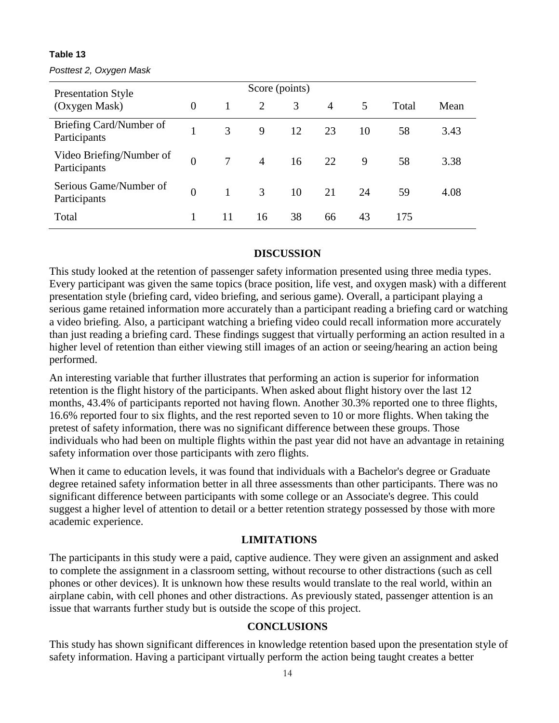#### *Posttest 2, Oxygen Mask*

| <b>Presentation Style</b>                |                |              | Score (points) |    |                |    |       |      |
|------------------------------------------|----------------|--------------|----------------|----|----------------|----|-------|------|
| (Oxygen Mask)                            | $\overline{0}$ | 1            | 2              | 3  | $\overline{4}$ | 5  | Total | Mean |
| Briefing Card/Number of<br>Participants  |                | 3            | 9              | 12 | 23             | 10 | 58    | 3.43 |
| Video Briefing/Number of<br>Participants | $\theta$       | $\tau$       | $\overline{4}$ | 16 | 22             | 9  | 58    | 3.38 |
| Serious Game/Number of<br>Participants   | $\theta$       | $\mathbf{1}$ | $\mathfrak{Z}$ | 10 | 21             | 24 | 59    | 4.08 |
| Total                                    |                | 11           | 16             | 38 | 66             | 43 | 175   |      |

### **DISCUSSION**

This study looked at the retention of passenger safety information presented using three media types. Every participant was given the same topics (brace position, life vest, and oxygen mask) with a different presentation style (briefing card, video briefing, and serious game). Overall, a participant playing a serious game retained information more accurately than a participant reading a briefing card or watching a video briefing. Also, a participant watching a briefing video could recall information more accurately than just reading a briefing card. These findings suggest that virtually performing an action resulted in a higher level of retention than either viewing still images of an action or seeing/hearing an action being performed.

An interesting variable that further illustrates that performing an action is superior for information retention is the flight history of the participants. When asked about flight history over the last 12 months, 43.4% of participants reported not having flown. Another 30.3% reported one to three flights, 16.6% reported four to six flights, and the rest reported seven to 10 or more flights. When taking the pretest of safety information, there was no significant difference between these groups. Those individuals who had been on multiple flights within the past year did not have an advantage in retaining safety information over those participants with zero flights.

When it came to education levels, it was found that individuals with a Bachelor's degree or Graduate degree retained safety information better in all three assessments than other participants. There was no significant difference between participants with some college or an Associate's degree. This could suggest a higher level of attention to detail or a better retention strategy possessed by those with more academic experience.

# **LIMITATIONS**

The participants in this study were a paid, captive audience. They were given an assignment and asked to complete the assignment in a classroom setting, without recourse to other distractions (such as cell phones or other devices). It is unknown how these results would translate to the real world, within an airplane cabin, with cell phones and other distractions. As previously stated, passenger attention is an issue that warrants further study but is outside the scope of this project.

#### **CONCLUSIONS**

This study has shown significant differences in knowledge retention based upon the presentation style of safety information. Having a participant virtually perform the action being taught creates a better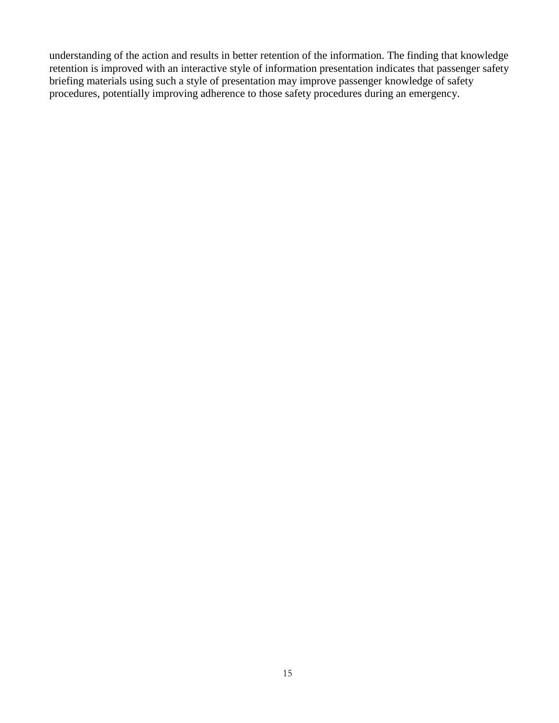understanding of the action and results in better retention of the information. The finding that knowledge retention is improved with an interactive style of information presentation indicates that passenger safety briefing materials using such a style of presentation may improve passenger knowledge of safety procedures, potentially improving adherence to those safety procedures during an emergency.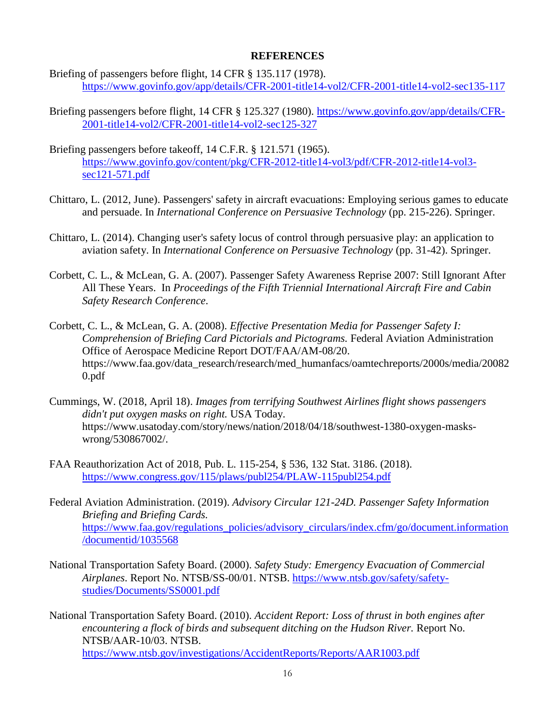#### **REFERENCES**

- Briefing of passengers before flight, 14 CFR § 135.117 (1978). <https://www.govinfo.gov/app/details/CFR-2001-title14-vol2/CFR-2001-title14-vol2-sec135-117>
- Briefing passengers before flight, 14 CFR § 125.327 (1980). [https://www.govinfo.gov/app/details/CFR-](https://www.govinfo.gov/app/details/CFR-2001-title14-vol2/CFR-2001-title14-vol2-sec125-327)[2001-title14-vol2/CFR-2001-title14-vol2-sec125-327](https://www.govinfo.gov/app/details/CFR-2001-title14-vol2/CFR-2001-title14-vol2-sec125-327)
- Briefing passengers before takeoff, 14 C.F.R. § 121.571 (1965). [https://www.govinfo.gov/content/pkg/CFR-2012-title14-vol3/pdf/CFR-2012-title14-vol3](https://www.govinfo.gov/content/pkg/CFR-2012-title14-vol3/pdf/CFR-2012-title14-vol3-sec121-571.pdf) [sec121-571.pdf](https://www.govinfo.gov/content/pkg/CFR-2012-title14-vol3/pdf/CFR-2012-title14-vol3-sec121-571.pdf)
- Chittaro, L. (2012, June). Passengers' safety in aircraft evacuations: Employing serious games to educate and persuade. In *International Conference on Persuasive Technology* (pp. 215-226). Springer.
- Chittaro, L. (2014). Changing user's safety locus of control through persuasive play: an application to aviation safety. In *International Conference on Persuasive Technology* (pp. 31-42). Springer.
- Corbett, C. L., & McLean, G. A. (2007). Passenger Safety Awareness Reprise 2007: Still Ignorant After All These Years. In *Proceedings of the Fifth Triennial International Aircraft Fire and Cabin Safety Research Conference*.
- Corbett, C. L., & McLean, G. A. (2008). *Effective Presentation Media for Passenger Safety I: Comprehension of Briefing Card Pictorials and Pictograms.* Federal Aviation Administration Office of Aerospace Medicine Report DOT/FAA/AM-08/20. https://www.faa.gov/data\_research/research/med\_humanfacs/oamtechreports/2000s/media/20082 0.pdf
- Cummings, W. (2018, April 18). *Images from terrifying Southwest Airlines flight shows passengers didn't put oxygen masks on right.* USA Today. https://www.usatoday.com/story/news/nation/2018/04/18/southwest-1380-oxygen-maskswrong/530867002/.
- FAA Reauthorization Act of 2018, Pub. L. 115-254, § 536, 132 Stat. 3186. (2018). <https://www.congress.gov/115/plaws/publ254/PLAW-115publ254.pdf>
- Federal Aviation Administration. (2019). *Advisory Circular 121-24D. Passenger Safety Information Briefing and Briefing Cards.* [https://www.faa.gov/regulations\\_policies/advisory\\_circulars/index.cfm/go/document.information](https://www.faa.gov/regulations_policies/advisory_circulars/index.cfm/go/document.information/documentid/1035568) [/documentid/1035568](https://www.faa.gov/regulations_policies/advisory_circulars/index.cfm/go/document.information/documentid/1035568)
- National Transportation Safety Board. (2000). *Safety Study: Emergency Evacuation of Commercial Airplanes*. Report No. NTSB/SS-00/01. NTSB. [https://www.ntsb.gov/safety/safety](https://www.ntsb.gov/safety/safety-studies/Documents/SS0001.pdf)[studies/Documents/SS0001.pdf](https://www.ntsb.gov/safety/safety-studies/Documents/SS0001.pdf)
- National Transportation Safety Board. (2010). *Accident Report: Loss of thrust in both engines after encountering a flock of birds and subsequent ditching on the Hudson River.* Report No. NTSB/AAR-10/03. NTSB. <https://www.ntsb.gov/investigations/AccidentReports/Reports/AAR1003.pdf>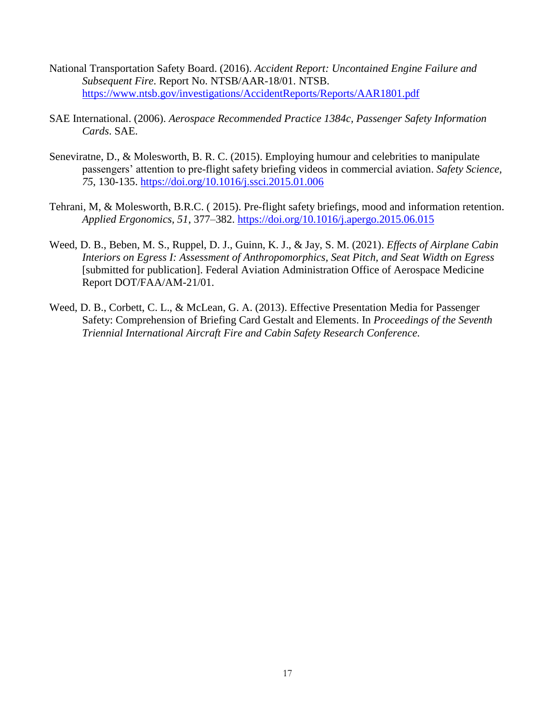- National Transportation Safety Board. (2016). *Accident Report: Uncontained Engine Failure and Subsequent Fire*. Report No. NTSB/AAR-18/01. NTSB. <https://www.ntsb.gov/investigations/AccidentReports/Reports/AAR1801.pdf>
- SAE International. (2006). *Aerospace Recommended Practice 1384c, Passenger Safety Information Cards*. SAE.
- Seneviratne, D., & Molesworth, B. R. C. (2015). Employing humour and celebrities to manipulate passengers' attention to pre-flight safety briefing videos in commercial aviation. *Safety Science, 75*, 130-135. <https://doi.org/10.1016/j.ssci.2015.01.006>
- Tehrani, M, & Molesworth, B.R.C. ( 2015). Pre-flight safety briefings, mood and information retention. *Applied Ergonomics, 51*, 377–382.<https://doi.org/10.1016/j.apergo.2015.06.015>
- Weed, D. B., Beben, M. S., Ruppel, D. J., Guinn, K. J., & Jay, S. M. (2021). *Effects of Airplane Cabin Interiors on Egress I: Assessment of Anthropomorphics, Seat Pitch, and Seat Width on Egress* [submitted for publication]. Federal Aviation Administration Office of Aerospace Medicine Report DOT/FAA/AM-21/01.
- Weed, D. B., Corbett, C. L., & McLean, G. A. (2013). Effective Presentation Media for Passenger Safety: Comprehension of Briefing Card Gestalt and Elements. In *Proceedings of the Seventh Triennial International Aircraft Fire and Cabin Safety Research Conference.*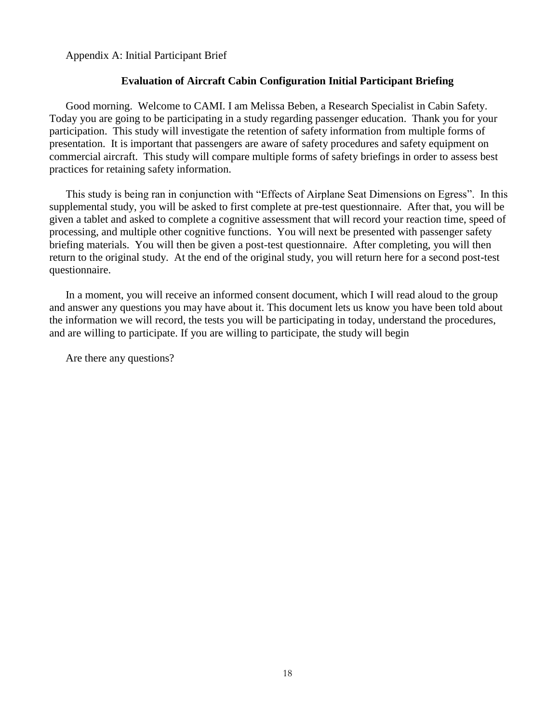Appendix A: Initial Participant Brief

#### **Evaluation of Aircraft Cabin Configuration Initial Participant Briefing**

Good morning. Welcome to CAMI. I am Melissa Beben, a Research Specialist in Cabin Safety. Today you are going to be participating in a study regarding passenger education. Thank you for your participation. This study will investigate the retention of safety information from multiple forms of presentation. It is important that passengers are aware of safety procedures and safety equipment on commercial aircraft. This study will compare multiple forms of safety briefings in order to assess best practices for retaining safety information.

This study is being ran in conjunction with "Effects of Airplane Seat Dimensions on Egress". In this supplemental study, you will be asked to first complete at pre-test questionnaire. After that, you will be given a tablet and asked to complete a cognitive assessment that will record your reaction time, speed of processing, and multiple other cognitive functions. You will next be presented with passenger safety briefing materials. You will then be given a post-test questionnaire. After completing, you will then return to the original study. At the end of the original study, you will return here for a second post-test questionnaire.

In a moment, you will receive an informed consent document, which I will read aloud to the group and answer any questions you may have about it. This document lets us know you have been told about the information we will record, the tests you will be participating in today, understand the procedures, and are willing to participate. If you are willing to participate, the study will begin

Are there any questions?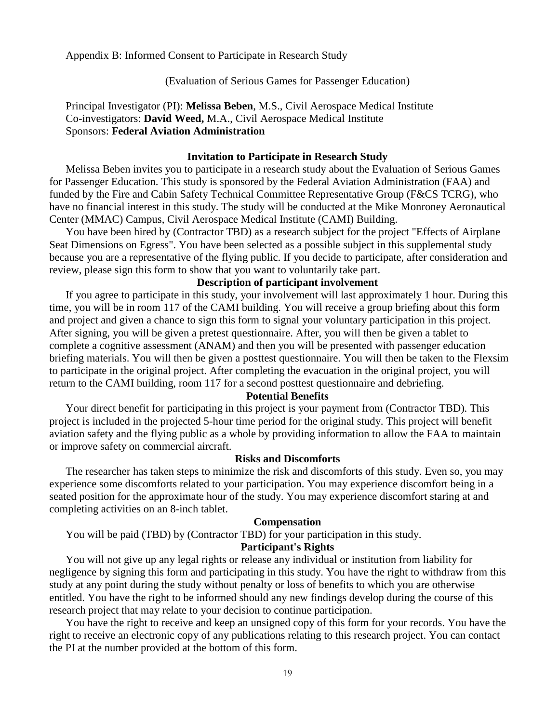Appendix B: Informed Consent to Participate in Research Study

(Evaluation of Serious Games for Passenger Education)

Principal Investigator (PI): **Melissa Beben**, M.S., Civil Aerospace Medical Institute Co-investigators: **David Weed,** M.A., Civil Aerospace Medical Institute Sponsors: **Federal Aviation Administration**

#### **Invitation to Participate in Research Study**

Melissa Beben invites you to participate in a research study about the Evaluation of Serious Games for Passenger Education. This study is sponsored by the Federal Aviation Administration (FAA) and funded by the Fire and Cabin Safety Technical Committee Representative Group (F&CS TCRG), who have no financial interest in this study. The study will be conducted at the Mike Monroney Aeronautical Center (MMAC) Campus, Civil Aerospace Medical Institute (CAMI) Building.

You have been hired by (Contractor TBD) as a research subject for the project "Effects of Airplane Seat Dimensions on Egress". You have been selected as a possible subject in this supplemental study because you are a representative of the flying public. If you decide to participate, after consideration and review, please sign this form to show that you want to voluntarily take part.

#### **Description of participant involvement**

If you agree to participate in this study, your involvement will last approximately 1 hour. During this time, you will be in room 117 of the CAMI building. You will receive a group briefing about this form and project and given a chance to sign this form to signal your voluntary participation in this project. After signing, you will be given a pretest questionnaire. After, you will then be given a tablet to complete a cognitive assessment (ANAM) and then you will be presented with passenger education briefing materials. You will then be given a posttest questionnaire. You will then be taken to the Flexsim to participate in the original project. After completing the evacuation in the original project, you will return to the CAMI building, room 117 for a second posttest questionnaire and debriefing.

#### **Potential Benefits**

Your direct benefit for participating in this project is your payment from (Contractor TBD). This project is included in the projected 5-hour time period for the original study. This project will benefit aviation safety and the flying public as a whole by providing information to allow the FAA to maintain or improve safety on commercial aircraft.

#### **Risks and Discomforts**

The researcher has taken steps to minimize the risk and discomforts of this study. Even so, you may experience some discomforts related to your participation. You may experience discomfort being in a seated position for the approximate hour of the study. You may experience discomfort staring at and completing activities on an 8-inch tablet.

#### **Compensation**

You will be paid (TBD) by (Contractor TBD) for your participation in this study.

#### **Participant's Rights**

You will not give up any legal rights or release any individual or institution from liability for negligence by signing this form and participating in this study. You have the right to withdraw from this study at any point during the study without penalty or loss of benefits to which you are otherwise entitled. You have the right to be informed should any new findings develop during the course of this research project that may relate to your decision to continue participation.

You have the right to receive and keep an unsigned copy of this form for your records. You have the right to receive an electronic copy of any publications relating to this research project. You can contact the PI at the number provided at the bottom of this form.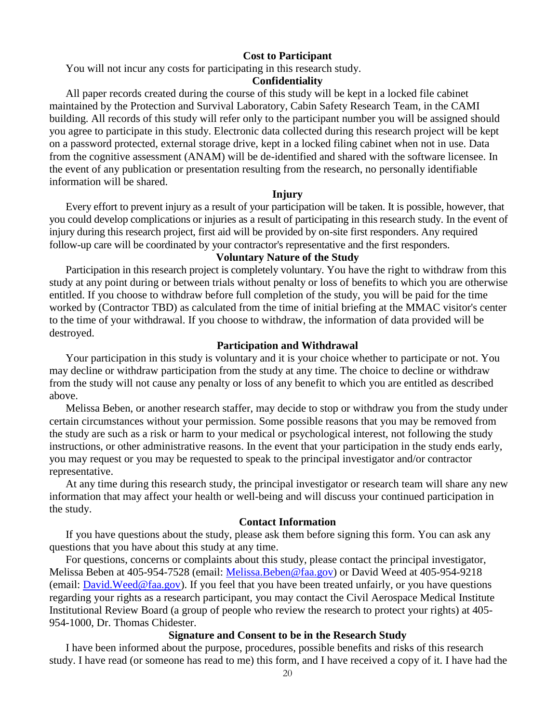#### **Cost to Participant**

You will not incur any costs for participating in this research study.

#### **Confidentiality**

All paper records created during the course of this study will be kept in a locked file cabinet maintained by the Protection and Survival Laboratory, Cabin Safety Research Team, in the CAMI building. All records of this study will refer only to the participant number you will be assigned should you agree to participate in this study. Electronic data collected during this research project will be kept on a password protected, external storage drive, kept in a locked filing cabinet when not in use. Data from the cognitive assessment (ANAM) will be de-identified and shared with the software licensee. In the event of any publication or presentation resulting from the research, no personally identifiable information will be shared.

#### **Injury**

Every effort to prevent injury as a result of your participation will be taken. It is possible, however, that you could develop complications or injuries as a result of participating in this research study. In the event of injury during this research project, first aid will be provided by on-site first responders. Any required follow-up care will be coordinated by your contractor's representative and the first responders.

#### **Voluntary Nature of the Study**

Participation in this research project is completely voluntary. You have the right to withdraw from this study at any point during or between trials without penalty or loss of benefits to which you are otherwise entitled. If you choose to withdraw before full completion of the study, you will be paid for the time worked by (Contractor TBD) as calculated from the time of initial briefing at the MMAC visitor's center to the time of your withdrawal. If you choose to withdraw, the information of data provided will be destroyed.

#### **Participation and Withdrawal**

Your participation in this study is voluntary and it is your choice whether to participate or not. You may decline or withdraw participation from the study at any time. The choice to decline or withdraw from the study will not cause any penalty or loss of any benefit to which you are entitled as described above.

Melissa Beben, or another research staffer, may decide to stop or withdraw you from the study under certain circumstances without your permission. Some possible reasons that you may be removed from the study are such as a risk or harm to your medical or psychological interest, not following the study instructions, or other administrative reasons. In the event that your participation in the study ends early, you may request or you may be requested to speak to the principal investigator and/or contractor representative.

At any time during this research study, the principal investigator or research team will share any new information that may affect your health or well-being and will discuss your continued participation in the study.

#### **Contact Information**

If you have questions about the study, please ask them before signing this form. You can ask any questions that you have about this study at any time.

For questions, concerns or complaints about this study, please contact the principal investigator, Melissa Beben at 405-954-7528 (email: [Melissa.Beben@faa.gov\)](mailto:Melissa.Beben@faa.gov) or David Weed at 405-954-9218 (email:  $David. Weed @ faa.gov$ ). If you feel that you have been treated unfairly, or you have questions regarding your rights as a research participant, you may contact the Civil Aerospace Medical Institute Institutional Review Board (a group of people who review the research to protect your rights) at 405- 954-1000, Dr. Thomas Chidester.

#### **Signature and Consent to be in the Research Study**

I have been informed about the purpose, procedures, possible benefits and risks of this research study. I have read (or someone has read to me) this form, and I have received a copy of it. I have had the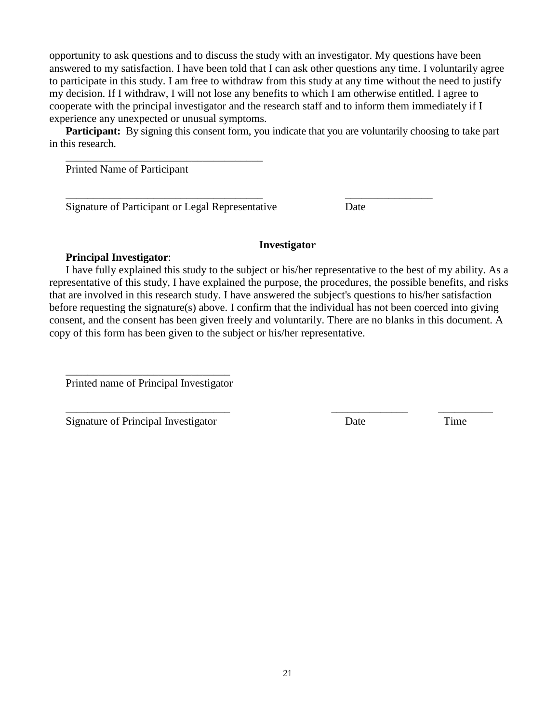opportunity to ask questions and to discuss the study with an investigator. My questions have been answered to my satisfaction. I have been told that I can ask other questions any time. I voluntarily agree to participate in this study. I am free to withdraw from this study at any time without the need to justify my decision. If I withdraw, I will not lose any benefits to which I am otherwise entitled. I agree to cooperate with the principal investigator and the research staff and to inform them immediately if I experience any unexpected or unusual symptoms.

**Participant:** By signing this consent form, you indicate that you are voluntarily choosing to take part in this research.

\_\_\_\_\_\_\_\_\_\_\_\_\_\_\_\_\_\_\_\_\_\_\_\_\_\_\_\_\_\_\_\_\_\_\_\_ \_\_\_\_\_\_\_\_\_\_\_\_\_\_\_\_

Printed Name of Participant

Signature of Participant or Legal Representative Date

\_\_\_\_\_\_\_\_\_\_\_\_\_\_\_\_\_\_\_\_\_\_\_\_\_\_\_\_\_\_\_\_\_\_\_\_

#### **Investigator**

### **Principal Investigator**:

I have fully explained this study to the subject or his/her representative to the best of my ability. As a representative of this study, I have explained the purpose, the procedures, the possible benefits, and risks that are involved in this research study. I have answered the subject's questions to his/her satisfaction before requesting the signature(s) above. I confirm that the individual has not been coerced into giving consent, and the consent has been given freely and voluntarily. There are no blanks in this document. A copy of this form has been given to the subject or his/her representative.

\_\_\_\_\_\_\_\_\_\_\_\_\_\_\_\_\_\_\_\_\_\_\_\_\_\_\_\_\_\_ Printed name of Principal Investigator

\_\_\_\_\_\_\_\_\_\_\_\_\_\_\_\_\_\_\_\_\_\_\_\_\_\_\_\_\_\_ \_\_\_\_\_\_\_\_\_\_\_\_\_\_ \_\_\_\_\_\_\_\_\_\_ Signature of Principal Investigator Date Date Time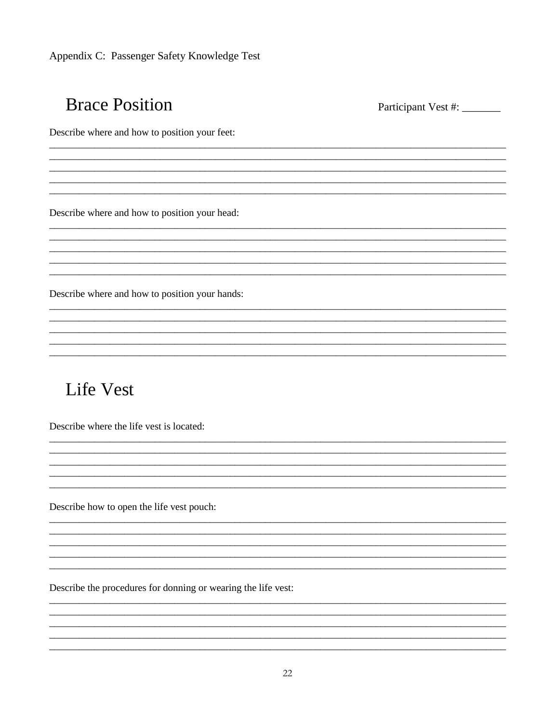Appendix C: Passenger Safety Knowledge Test

# **Brace Position**

Participant Vest #: \_\_\_\_\_\_\_

Describe where and how to position your feet:

Describe where and how to position your head:

Describe where and how to position your hands:

<u> 1980 - John Stein, Amerikaansk politiker († 1908)</u>

# **Life Vest**

Describe where the life vest is located:

Describe how to open the life vest pouch:

Describe the procedures for donning or wearing the life vest: